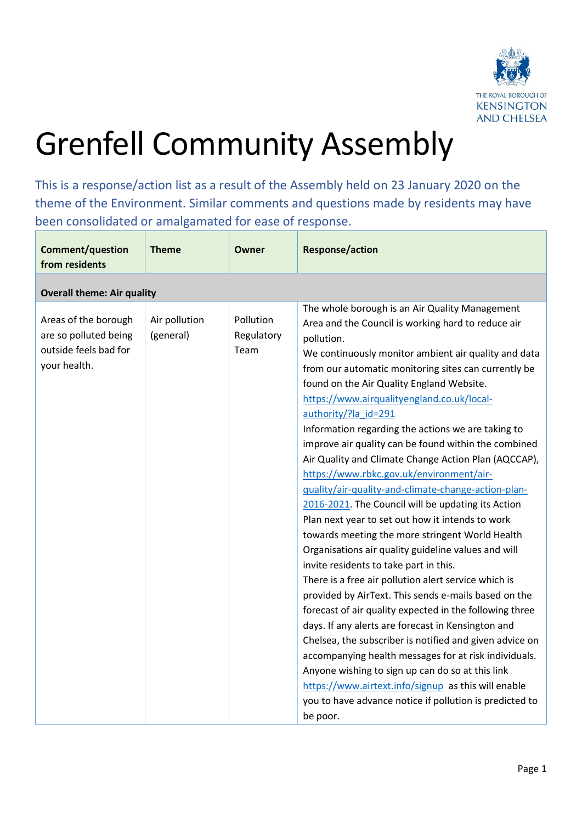

## Grenfell Community Assembly

This is a response/action list as a result of the Assembly held on 23 January 2020 on the theme of the Environment. Similar comments and questions made by residents may have been consolidated or amalgamated for ease of response.

| <b>Comment/question</b><br>from residents                                              | <b>Theme</b>               | Owner                           | <b>Response/action</b>                                                                                                                                                                                                                                                                                                                                                                                                                                                                                                                                                                                                                                                                                                                                                                                                                                                                                                                                                                                                                                                                                                                                                                                                                                                                                                                                                                                                              |
|----------------------------------------------------------------------------------------|----------------------------|---------------------------------|-------------------------------------------------------------------------------------------------------------------------------------------------------------------------------------------------------------------------------------------------------------------------------------------------------------------------------------------------------------------------------------------------------------------------------------------------------------------------------------------------------------------------------------------------------------------------------------------------------------------------------------------------------------------------------------------------------------------------------------------------------------------------------------------------------------------------------------------------------------------------------------------------------------------------------------------------------------------------------------------------------------------------------------------------------------------------------------------------------------------------------------------------------------------------------------------------------------------------------------------------------------------------------------------------------------------------------------------------------------------------------------------------------------------------------------|
| <b>Overall theme: Air quality</b>                                                      |                            |                                 |                                                                                                                                                                                                                                                                                                                                                                                                                                                                                                                                                                                                                                                                                                                                                                                                                                                                                                                                                                                                                                                                                                                                                                                                                                                                                                                                                                                                                                     |
| Areas of the borough<br>are so polluted being<br>outside feels bad for<br>your health. | Air pollution<br>(general) | Pollution<br>Regulatory<br>Team | The whole borough is an Air Quality Management<br>Area and the Council is working hard to reduce air<br>pollution.<br>We continuously monitor ambient air quality and data<br>from our automatic monitoring sites can currently be<br>found on the Air Quality England Website.<br>https://www.airqualityengland.co.uk/local-<br>authority/?la_id=291<br>Information regarding the actions we are taking to<br>improve air quality can be found within the combined<br>Air Quality and Climate Change Action Plan (AQCCAP),<br>https://www.rbkc.gov.uk/environment/air-<br>quality/air-quality-and-climate-change-action-plan-<br>2016-2021. The Council will be updating its Action<br>Plan next year to set out how it intends to work<br>towards meeting the more stringent World Health<br>Organisations air quality guideline values and will<br>invite residents to take part in this.<br>There is a free air pollution alert service which is<br>provided by AirText. This sends e-mails based on the<br>forecast of air quality expected in the following three<br>days. If any alerts are forecast in Kensington and<br>Chelsea, the subscriber is notified and given advice on<br>accompanying health messages for at risk individuals.<br>Anyone wishing to sign up can do so at this link<br>https://www.airtext.info/signup as this will enable<br>you to have advance notice if pollution is predicted to<br>be poor. |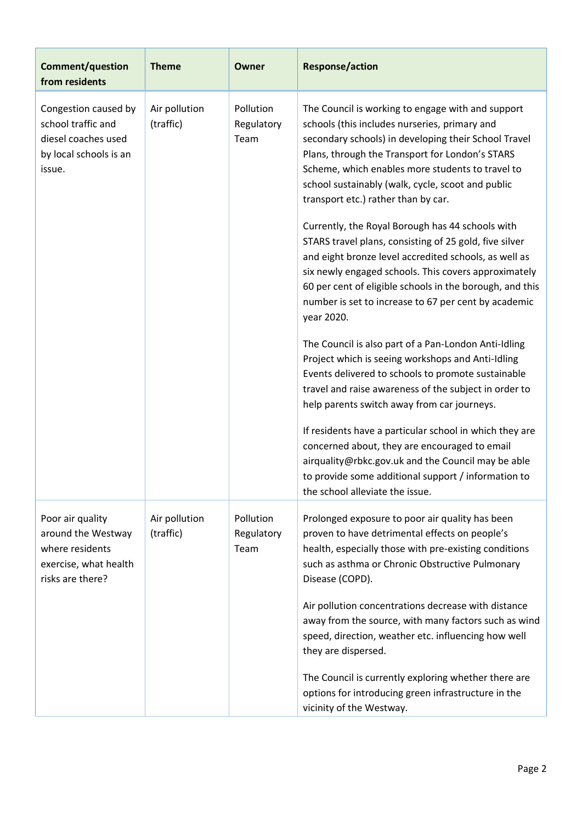| <b>Comment/question</b><br>from residents                                                              | <b>Theme</b>               | Owner                           | <b>Response/action</b>                                                                                                                                                                                                                                                                                                                                        |
|--------------------------------------------------------------------------------------------------------|----------------------------|---------------------------------|---------------------------------------------------------------------------------------------------------------------------------------------------------------------------------------------------------------------------------------------------------------------------------------------------------------------------------------------------------------|
| Congestion caused by<br>school traffic and<br>diesel coaches used<br>by local schools is an<br>issue.  | Air pollution<br>(traffic) | Pollution<br>Regulatory<br>Team | The Council is working to engage with and support<br>schools (this includes nurseries, primary and<br>secondary schools) in developing their School Travel<br>Plans, through the Transport for London's STARS<br>Scheme, which enables more students to travel to<br>school sustainably (walk, cycle, scoot and public<br>transport etc.) rather than by car. |
|                                                                                                        |                            |                                 | Currently, the Royal Borough has 44 schools with<br>STARS travel plans, consisting of 25 gold, five silver<br>and eight bronze level accredited schools, as well as<br>six newly engaged schools. This covers approximately<br>60 per cent of eligible schools in the borough, and this<br>number is set to increase to 67 per cent by academic<br>year 2020. |
|                                                                                                        |                            |                                 | The Council is also part of a Pan-London Anti-Idling<br>Project which is seeing workshops and Anti-Idling<br>Events delivered to schools to promote sustainable<br>travel and raise awareness of the subject in order to<br>help parents switch away from car journeys.                                                                                       |
|                                                                                                        |                            |                                 | If residents have a particular school in which they are<br>concerned about, they are encouraged to email<br>airquality@rbkc.gov.uk and the Council may be able<br>to provide some additional support / information to<br>the school alleviate the issue.                                                                                                      |
| Poor air quality<br>around the Westway<br>where residents<br>exercise, what health<br>risks are there? | Air pollution<br>(traffic) | Pollution<br>Regulatory<br>Team | Prolonged exposure to poor air quality has been<br>proven to have detrimental effects on people's<br>health, especially those with pre-existing conditions<br>such as asthma or Chronic Obstructive Pulmonary<br>Disease (COPD).                                                                                                                              |
|                                                                                                        |                            |                                 | Air pollution concentrations decrease with distance<br>away from the source, with many factors such as wind<br>speed, direction, weather etc. influencing how well<br>they are dispersed.                                                                                                                                                                     |
|                                                                                                        |                            |                                 | The Council is currently exploring whether there are<br>options for introducing green infrastructure in the<br>vicinity of the Westway.                                                                                                                                                                                                                       |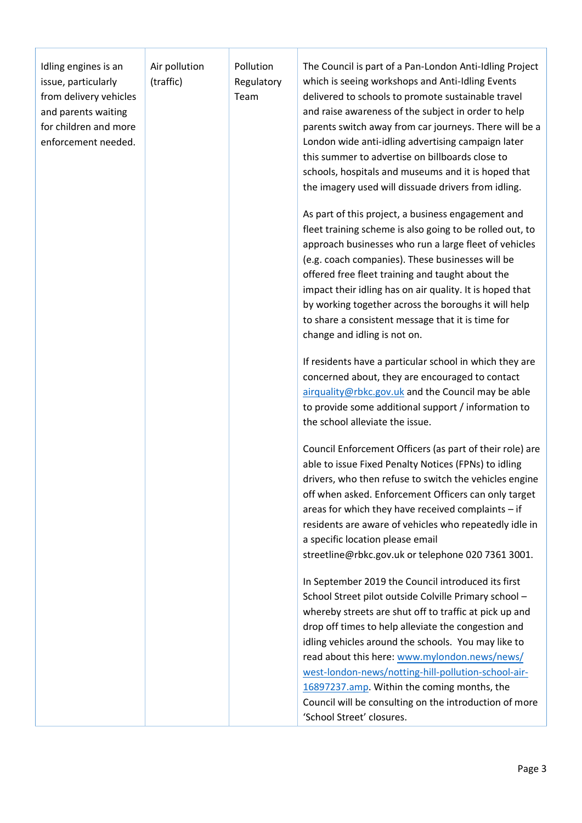| Idling engines is an<br>issue, particularly<br>from delivery vehicles<br>and parents waiting<br>for children and more<br>enforcement needed. | Air pollution<br>(traffic) | Pollution<br>Regulatory<br>Team | The Council is part of a Pan-London Anti-Idling Project<br>which is seeing workshops and Anti-Idling Events<br>delivered to schools to promote sustainable travel<br>and raise awareness of the subject in order to help<br>parents switch away from car journeys. There will be a<br>London wide anti-idling advertising campaign later<br>this summer to advertise on billboards close to<br>schools, hospitals and museums and it is hoped that<br>the imagery used will dissuade drivers from idling.<br>As part of this project, a business engagement and<br>fleet training scheme is also going to be rolled out, to<br>approach businesses who run a large fleet of vehicles<br>(e.g. coach companies). These businesses will be<br>offered free fleet training and taught about the<br>impact their idling has on air quality. It is hoped that<br>by working together across the boroughs it will help<br>to share a consistent message that it is time for<br>change and idling is not on.<br>If residents have a particular school in which they are<br>concerned about, they are encouraged to contact<br>airquality@rbkc.gov.uk and the Council may be able<br>to provide some additional support / information to |
|----------------------------------------------------------------------------------------------------------------------------------------------|----------------------------|---------------------------------|----------------------------------------------------------------------------------------------------------------------------------------------------------------------------------------------------------------------------------------------------------------------------------------------------------------------------------------------------------------------------------------------------------------------------------------------------------------------------------------------------------------------------------------------------------------------------------------------------------------------------------------------------------------------------------------------------------------------------------------------------------------------------------------------------------------------------------------------------------------------------------------------------------------------------------------------------------------------------------------------------------------------------------------------------------------------------------------------------------------------------------------------------------------------------------------------------------------------------------|
|                                                                                                                                              |                            |                                 | the school alleviate the issue.<br>Council Enforcement Officers (as part of their role) are<br>able to issue Fixed Penalty Notices (FPNs) to idling<br>drivers, who then refuse to switch the vehicles engine<br>off when asked. Enforcement Officers can only target<br>areas for which they have received complaints - if<br>residents are aware of vehicles who repeatedly idle in<br>a specific location please email<br>streetline@rbkc.gov.uk or telephone 020 7361 3001.<br>In September 2019 the Council introduced its first<br>School Street pilot outside Colville Primary school -<br>whereby streets are shut off to traffic at pick up and<br>drop off times to help alleviate the congestion and<br>idling vehicles around the schools. You may like to<br>read about this here: www.mylondon.news/news/<br>west-london-news/notting-hill-pollution-school-air-<br>16897237.amp. Within the coming months, the<br>Council will be consulting on the introduction of more<br>'School Street' closures.                                                                                                                                                                                                             |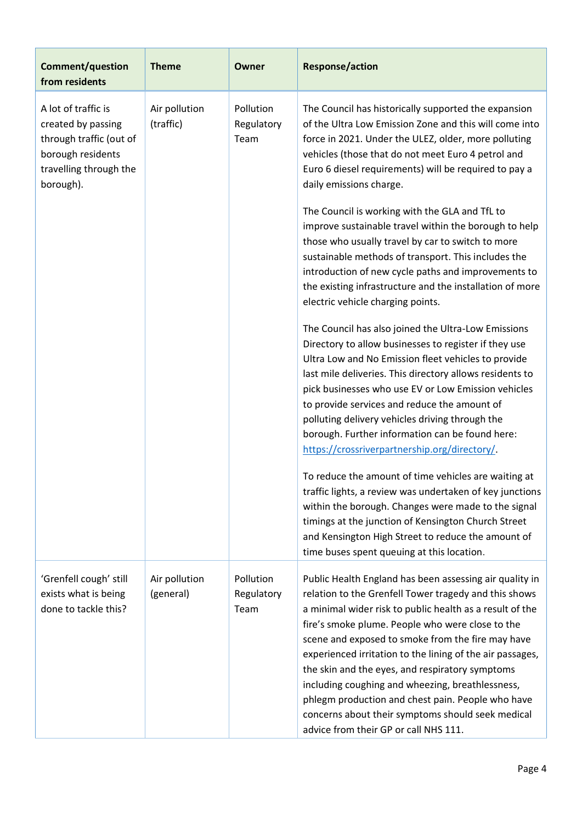| <b>Comment/question</b><br>from residents                                                                                        | <b>Theme</b>               | Owner                           | <b>Response/action</b>                                                                                                                                                                                                                                                                                                                                                                                                                                                                                                                                                                                                                                                                                                                                                                                                                                                                                                                                                                                                                                                                                                                                                                                                                                                                                                                                                                                                                                                                                                                 |
|----------------------------------------------------------------------------------------------------------------------------------|----------------------------|---------------------------------|----------------------------------------------------------------------------------------------------------------------------------------------------------------------------------------------------------------------------------------------------------------------------------------------------------------------------------------------------------------------------------------------------------------------------------------------------------------------------------------------------------------------------------------------------------------------------------------------------------------------------------------------------------------------------------------------------------------------------------------------------------------------------------------------------------------------------------------------------------------------------------------------------------------------------------------------------------------------------------------------------------------------------------------------------------------------------------------------------------------------------------------------------------------------------------------------------------------------------------------------------------------------------------------------------------------------------------------------------------------------------------------------------------------------------------------------------------------------------------------------------------------------------------------|
| A lot of traffic is<br>created by passing<br>through traffic (out of<br>borough residents<br>travelling through the<br>borough). | Air pollution<br>(traffic) | Pollution<br>Regulatory<br>Team | The Council has historically supported the expansion<br>of the Ultra Low Emission Zone and this will come into<br>force in 2021. Under the ULEZ, older, more polluting<br>vehicles (those that do not meet Euro 4 petrol and<br>Euro 6 diesel requirements) will be required to pay a<br>daily emissions charge.<br>The Council is working with the GLA and TfL to<br>improve sustainable travel within the borough to help<br>those who usually travel by car to switch to more<br>sustainable methods of transport. This includes the<br>introduction of new cycle paths and improvements to<br>the existing infrastructure and the installation of more<br>electric vehicle charging points.<br>The Council has also joined the Ultra-Low Emissions<br>Directory to allow businesses to register if they use<br>Ultra Low and No Emission fleet vehicles to provide<br>last mile deliveries. This directory allows residents to<br>pick businesses who use EV or Low Emission vehicles<br>to provide services and reduce the amount of<br>polluting delivery vehicles driving through the<br>borough. Further information can be found here:<br>https://crossriverpartnership.org/directory/.<br>To reduce the amount of time vehicles are waiting at<br>traffic lights, a review was undertaken of key junctions<br>within the borough. Changes were made to the signal<br>timings at the junction of Kensington Church Street<br>and Kensington High Street to reduce the amount of<br>time buses spent queuing at this location. |
| 'Grenfell cough' still<br>exists what is being<br>done to tackle this?                                                           | Air pollution<br>(general) | Pollution<br>Regulatory<br>Team | Public Health England has been assessing air quality in<br>relation to the Grenfell Tower tragedy and this shows<br>a minimal wider risk to public health as a result of the<br>fire's smoke plume. People who were close to the<br>scene and exposed to smoke from the fire may have<br>experienced irritation to the lining of the air passages,<br>the skin and the eyes, and respiratory symptoms<br>including coughing and wheezing, breathlessness,<br>phlegm production and chest pain. People who have<br>concerns about their symptoms should seek medical<br>advice from their GP or call NHS 111.                                                                                                                                                                                                                                                                                                                                                                                                                                                                                                                                                                                                                                                                                                                                                                                                                                                                                                                           |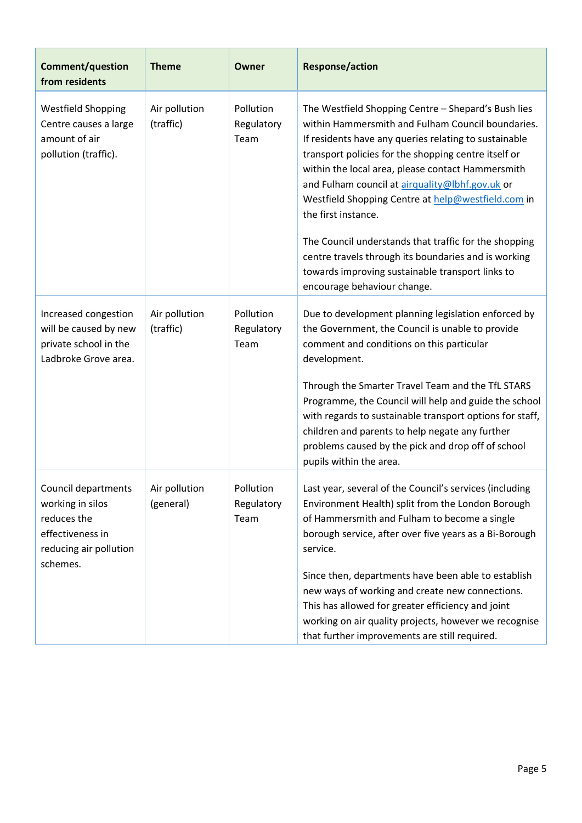| <b>Comment/question</b><br>from residents                                                                        | <b>Theme</b>               | Owner                           | <b>Response/action</b>                                                                                                                                                                                                                                                                                                                                                                                                                                                                                                                                                                                             |
|------------------------------------------------------------------------------------------------------------------|----------------------------|---------------------------------|--------------------------------------------------------------------------------------------------------------------------------------------------------------------------------------------------------------------------------------------------------------------------------------------------------------------------------------------------------------------------------------------------------------------------------------------------------------------------------------------------------------------------------------------------------------------------------------------------------------------|
| <b>Westfield Shopping</b><br>Centre causes a large<br>amount of air<br>pollution (traffic).                      | Air pollution<br>(traffic) | Pollution<br>Regulatory<br>Team | The Westfield Shopping Centre - Shepard's Bush lies<br>within Hammersmith and Fulham Council boundaries.<br>If residents have any queries relating to sustainable<br>transport policies for the shopping centre itself or<br>within the local area, please contact Hammersmith<br>and Fulham council at airquality@lbhf.gov.uk or<br>Westfield Shopping Centre at help@westfield.com in<br>the first instance.<br>The Council understands that traffic for the shopping<br>centre travels through its boundaries and is working<br>towards improving sustainable transport links to<br>encourage behaviour change. |
| Increased congestion<br>will be caused by new<br>private school in the<br>Ladbroke Grove area.                   | Air pollution<br>(traffic) | Pollution<br>Regulatory<br>Team | Due to development planning legislation enforced by<br>the Government, the Council is unable to provide<br>comment and conditions on this particular<br>development.<br>Through the Smarter Travel Team and the TfL STARS<br>Programme, the Council will help and guide the school<br>with regards to sustainable transport options for staff,<br>children and parents to help negate any further<br>problems caused by the pick and drop off of school<br>pupils within the area.                                                                                                                                 |
| Council departments<br>working in silos<br>reduces the<br>effectiveness in<br>reducing air pollution<br>schemes. | Air pollution<br>(general) | Pollution<br>Regulatory<br>Team | Last year, several of the Council's services (including<br>Environment Health) split from the London Borough<br>of Hammersmith and Fulham to become a single<br>borough service, after over five years as a Bi-Borough<br>service.<br>Since then, departments have been able to establish<br>new ways of working and create new connections.<br>This has allowed for greater efficiency and joint<br>working on air quality projects, however we recognise<br>that further improvements are still required.                                                                                                        |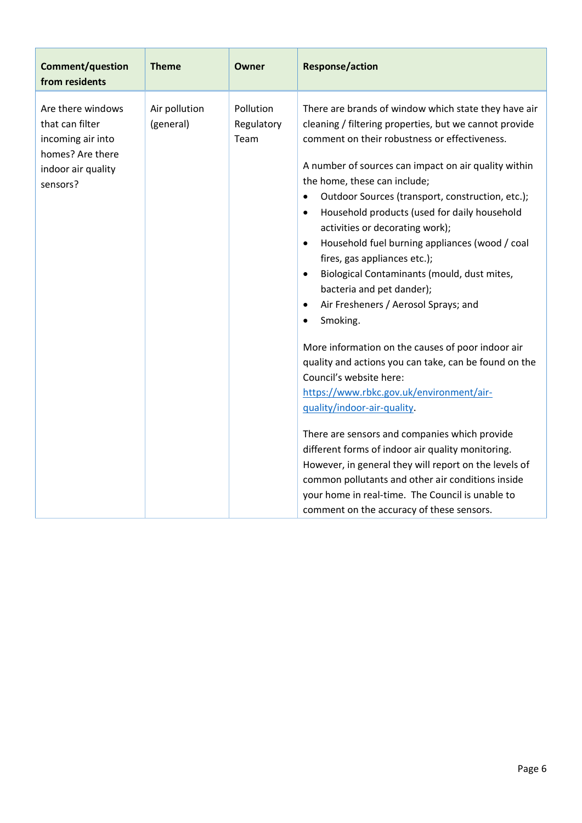| <b>Comment/question</b><br>from residents                                                                       | <b>Theme</b>               | Owner                           | <b>Response/action</b>                                                                                                                                                                                                                                                                                                                                                                                                                                                                                                                                                                                                                                                                                                                                                                                                                                                                                                                                                                                                                                                                                                                                                                                                                  |
|-----------------------------------------------------------------------------------------------------------------|----------------------------|---------------------------------|-----------------------------------------------------------------------------------------------------------------------------------------------------------------------------------------------------------------------------------------------------------------------------------------------------------------------------------------------------------------------------------------------------------------------------------------------------------------------------------------------------------------------------------------------------------------------------------------------------------------------------------------------------------------------------------------------------------------------------------------------------------------------------------------------------------------------------------------------------------------------------------------------------------------------------------------------------------------------------------------------------------------------------------------------------------------------------------------------------------------------------------------------------------------------------------------------------------------------------------------|
| Are there windows<br>that can filter<br>incoming air into<br>homes? Are there<br>indoor air quality<br>sensors? | Air pollution<br>(general) | Pollution<br>Regulatory<br>Team | There are brands of window which state they have air<br>cleaning / filtering properties, but we cannot provide<br>comment on their robustness or effectiveness.<br>A number of sources can impact on air quality within<br>the home, these can include;<br>Outdoor Sources (transport, construction, etc.);<br>$\bullet$<br>Household products (used for daily household<br>$\bullet$<br>activities or decorating work);<br>Household fuel burning appliances (wood / coal<br>$\bullet$<br>fires, gas appliances etc.);<br>Biological Contaminants (mould, dust mites,<br>$\bullet$<br>bacteria and pet dander);<br>Air Fresheners / Aerosol Sprays; and<br>$\bullet$<br>Smoking.<br>$\bullet$<br>More information on the causes of poor indoor air<br>quality and actions you can take, can be found on the<br>Council's website here:<br>https://www.rbkc.gov.uk/environment/air-<br>quality/indoor-air-quality.<br>There are sensors and companies which provide<br>different forms of indoor air quality monitoring.<br>However, in general they will report on the levels of<br>common pollutants and other air conditions inside<br>your home in real-time. The Council is unable to<br>comment on the accuracy of these sensors. |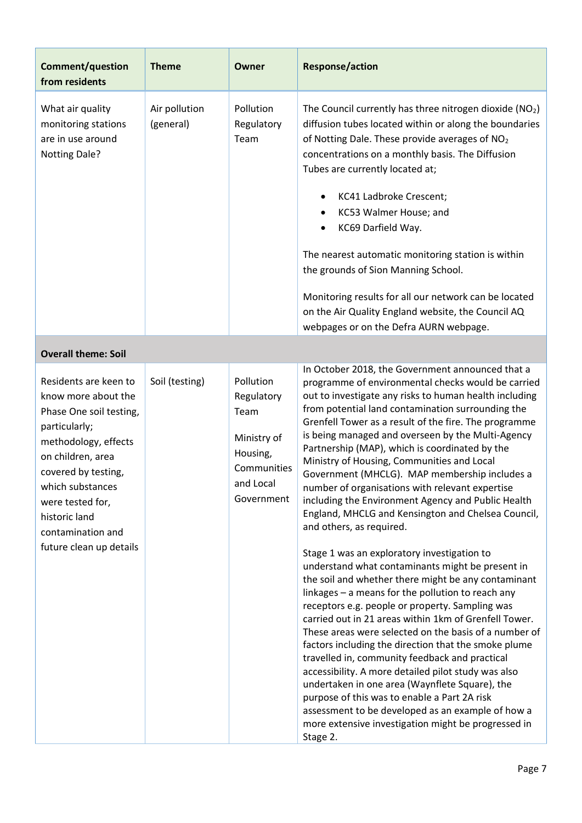| <b>Comment/question</b><br>from residents                                                                                                                                                                                                                             | <b>Theme</b>               | Owner                                                                                                | <b>Response/action</b>                                                                                                                                                                                                                                                                                                                                                                                                                                                                                                                                                                                                                                                                                                                                                                                                                                                                                                                                                                                                                                                                                                                                                                                                                                                                                                                                                                                                                                         |
|-----------------------------------------------------------------------------------------------------------------------------------------------------------------------------------------------------------------------------------------------------------------------|----------------------------|------------------------------------------------------------------------------------------------------|----------------------------------------------------------------------------------------------------------------------------------------------------------------------------------------------------------------------------------------------------------------------------------------------------------------------------------------------------------------------------------------------------------------------------------------------------------------------------------------------------------------------------------------------------------------------------------------------------------------------------------------------------------------------------------------------------------------------------------------------------------------------------------------------------------------------------------------------------------------------------------------------------------------------------------------------------------------------------------------------------------------------------------------------------------------------------------------------------------------------------------------------------------------------------------------------------------------------------------------------------------------------------------------------------------------------------------------------------------------------------------------------------------------------------------------------------------------|
| What air quality<br>monitoring stations<br>are in use around<br><b>Notting Dale?</b>                                                                                                                                                                                  | Air pollution<br>(general) | Pollution<br>Regulatory<br>Team                                                                      | The Council currently has three nitrogen dioxide $(NO2)$<br>diffusion tubes located within or along the boundaries<br>of Notting Dale. These provide averages of NO <sub>2</sub><br>concentrations on a monthly basis. The Diffusion<br>Tubes are currently located at;<br>KC41 Ladbroke Crescent;<br>٠<br>KC53 Walmer House; and<br>٠<br>KC69 Darfield Way.<br>The nearest automatic monitoring station is within<br>the grounds of Sion Manning School.<br>Monitoring results for all our network can be located<br>on the Air Quality England website, the Council AQ<br>webpages or on the Defra AURN webpage.                                                                                                                                                                                                                                                                                                                                                                                                                                                                                                                                                                                                                                                                                                                                                                                                                                             |
| <b>Overall theme: Soil</b>                                                                                                                                                                                                                                            |                            |                                                                                                      |                                                                                                                                                                                                                                                                                                                                                                                                                                                                                                                                                                                                                                                                                                                                                                                                                                                                                                                                                                                                                                                                                                                                                                                                                                                                                                                                                                                                                                                                |
| Residents are keen to<br>know more about the<br>Phase One soil testing,<br>particularly;<br>methodology, effects<br>on children, area<br>covered by testing,<br>which substances<br>were tested for,<br>historic land<br>contamination and<br>future clean up details | Soil (testing)             | Pollution<br>Regulatory<br>Team<br>Ministry of<br>Housing,<br>Communities<br>and Local<br>Government | In October 2018, the Government announced that a<br>programme of environmental checks would be carried<br>out to investigate any risks to human health including<br>from potential land contamination surrounding the<br>Grenfell Tower as a result of the fire. The programme<br>is being managed and overseen by the Multi-Agency<br>Partnership (MAP), which is coordinated by the<br>Ministry of Housing, Communities and Local<br>Government (MHCLG). MAP membership includes a<br>number of organisations with relevant expertise<br>including the Environment Agency and Public Health<br>England, MHCLG and Kensington and Chelsea Council,<br>and others, as required.<br>Stage 1 was an exploratory investigation to<br>understand what contaminants might be present in<br>the soil and whether there might be any contaminant<br>linkages - a means for the pollution to reach any<br>receptors e.g. people or property. Sampling was<br>carried out in 21 areas within 1km of Grenfell Tower.<br>These areas were selected on the basis of a number of<br>factors including the direction that the smoke plume<br>travelled in, community feedback and practical<br>accessibility. A more detailed pilot study was also<br>undertaken in one area (Waynflete Square), the<br>purpose of this was to enable a Part 2A risk<br>assessment to be developed as an example of how a<br>more extensive investigation might be progressed in<br>Stage 2. |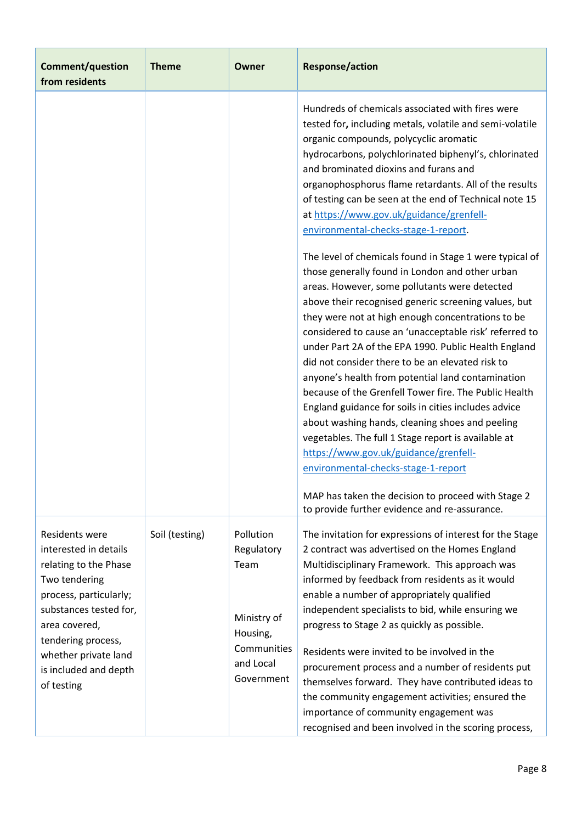| <b>Comment/question</b><br>from residents                                                                                                                                                                                                   | <b>Theme</b>   | Owner                                                                                                | <b>Response/action</b>                                                                                                                                                                                                                                                                                                                                                                                                                                                                                                                                                                                                                                                                                                                                                                                                                                                                                                                                                                                                                                                                                                                                                                                                                                                                                                                                                                   |
|---------------------------------------------------------------------------------------------------------------------------------------------------------------------------------------------------------------------------------------------|----------------|------------------------------------------------------------------------------------------------------|------------------------------------------------------------------------------------------------------------------------------------------------------------------------------------------------------------------------------------------------------------------------------------------------------------------------------------------------------------------------------------------------------------------------------------------------------------------------------------------------------------------------------------------------------------------------------------------------------------------------------------------------------------------------------------------------------------------------------------------------------------------------------------------------------------------------------------------------------------------------------------------------------------------------------------------------------------------------------------------------------------------------------------------------------------------------------------------------------------------------------------------------------------------------------------------------------------------------------------------------------------------------------------------------------------------------------------------------------------------------------------------|
|                                                                                                                                                                                                                                             |                |                                                                                                      | Hundreds of chemicals associated with fires were<br>tested for, including metals, volatile and semi-volatile<br>organic compounds, polycyclic aromatic<br>hydrocarbons, polychlorinated biphenyl's, chlorinated<br>and brominated dioxins and furans and<br>organophosphorus flame retardants. All of the results<br>of testing can be seen at the end of Technical note 15<br>at https://www.gov.uk/guidance/grenfell-<br>environmental-checks-stage-1-report.<br>The level of chemicals found in Stage 1 were typical of<br>those generally found in London and other urban<br>areas. However, some pollutants were detected<br>above their recognised generic screening values, but<br>they were not at high enough concentrations to be<br>considered to cause an 'unacceptable risk' referred to<br>under Part 2A of the EPA 1990. Public Health England<br>did not consider there to be an elevated risk to<br>anyone's health from potential land contamination<br>because of the Grenfell Tower fire. The Public Health<br>England guidance for soils in cities includes advice<br>about washing hands, cleaning shoes and peeling<br>vegetables. The full 1 Stage report is available at<br>https://www.gov.uk/guidance/grenfell-<br>environmental-checks-stage-1-report<br>MAP has taken the decision to proceed with Stage 2<br>to provide further evidence and re-assurance. |
| Residents were<br>interested in details<br>relating to the Phase<br>Two tendering<br>process, particularly;<br>substances tested for,<br>area covered,<br>tendering process,<br>whether private land<br>is included and depth<br>of testing | Soil (testing) | Pollution<br>Regulatory<br>Team<br>Ministry of<br>Housing,<br>Communities<br>and Local<br>Government | The invitation for expressions of interest for the Stage<br>2 contract was advertised on the Homes England<br>Multidisciplinary Framework. This approach was<br>informed by feedback from residents as it would<br>enable a number of appropriately qualified<br>independent specialists to bid, while ensuring we<br>progress to Stage 2 as quickly as possible.<br>Residents were invited to be involved in the<br>procurement process and a number of residents put<br>themselves forward. They have contributed ideas to<br>the community engagement activities; ensured the<br>importance of community engagement was<br>recognised and been involved in the scoring process,                                                                                                                                                                                                                                                                                                                                                                                                                                                                                                                                                                                                                                                                                                       |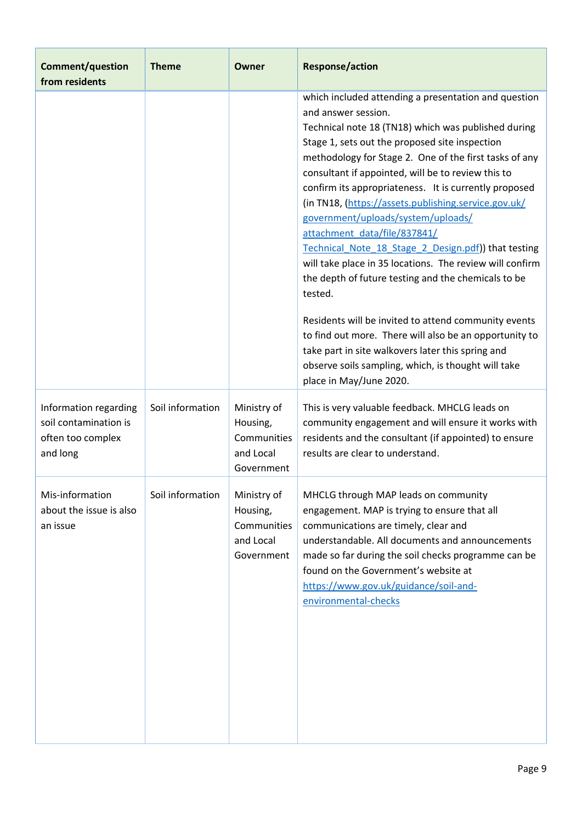| <b>Comment/question</b><br>from residents                                       | <b>Theme</b>     | Owner                                                             | <b>Response/action</b>                                                                                                                                                                                                                                                                                                                                                                                                                                                                                                                                                                                                                                                                                                                                                                                                                                                                                                                   |
|---------------------------------------------------------------------------------|------------------|-------------------------------------------------------------------|------------------------------------------------------------------------------------------------------------------------------------------------------------------------------------------------------------------------------------------------------------------------------------------------------------------------------------------------------------------------------------------------------------------------------------------------------------------------------------------------------------------------------------------------------------------------------------------------------------------------------------------------------------------------------------------------------------------------------------------------------------------------------------------------------------------------------------------------------------------------------------------------------------------------------------------|
|                                                                                 |                  |                                                                   | which included attending a presentation and question<br>and answer session.<br>Technical note 18 (TN18) which was published during<br>Stage 1, sets out the proposed site inspection<br>methodology for Stage 2. One of the first tasks of any<br>consultant if appointed, will be to review this to<br>confirm its appropriateness. It is currently proposed<br>(in TN18, (https://assets.publishing.service.gov.uk/<br>government/uploads/system/uploads/<br>attachment data/file/837841/<br>Technical Note 18 Stage 2 Design.pdf) that testing<br>will take place in 35 locations. The review will confirm<br>the depth of future testing and the chemicals to be<br>tested.<br>Residents will be invited to attend community events<br>to find out more. There will also be an opportunity to<br>take part in site walkovers later this spring and<br>observe soils sampling, which, is thought will take<br>place in May/June 2020. |
| Information regarding<br>soil contamination is<br>often too complex<br>and long | Soil information | Ministry of<br>Housing,<br>Communities<br>and Local<br>Government | This is very valuable feedback. MHCLG leads on<br>community engagement and will ensure it works with<br>residents and the consultant (if appointed) to ensure<br>results are clear to understand.                                                                                                                                                                                                                                                                                                                                                                                                                                                                                                                                                                                                                                                                                                                                        |
| Mis-information<br>about the issue is also<br>an issue                          | Soil information | Ministry of<br>Housing,<br>Communities<br>and Local<br>Government | MHCLG through MAP leads on community<br>engagement. MAP is trying to ensure that all<br>communications are timely, clear and<br>understandable. All documents and announcements<br>made so far during the soil checks programme can be<br>found on the Government's website at<br>https://www.gov.uk/guidance/soil-and-<br>environmental-checks                                                                                                                                                                                                                                                                                                                                                                                                                                                                                                                                                                                          |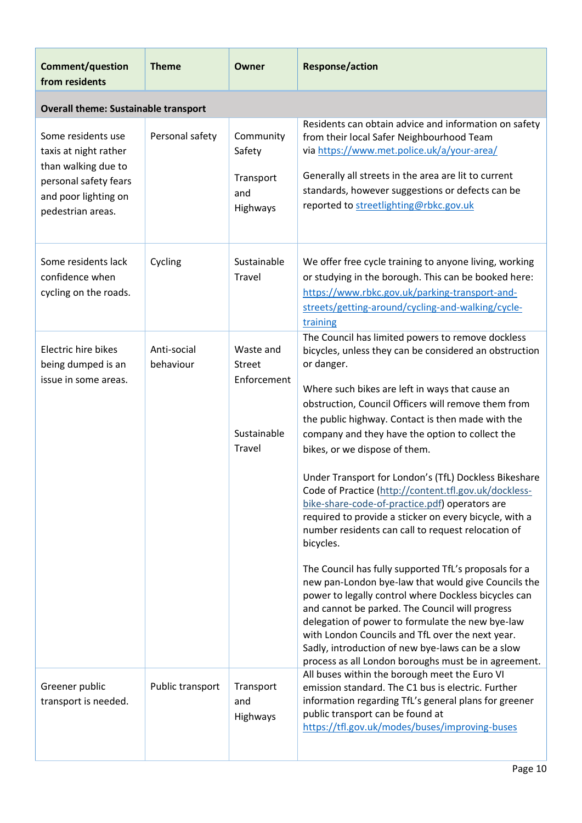| <b>Comment/question</b><br>from residents                                                                                                | <b>Theme</b>             | Owner                                                              | <b>Response/action</b>                                                                                                                                                                                                                                                                                                                                                                                                                                                                                                                                                                                                                                                                                                                                                                        |
|------------------------------------------------------------------------------------------------------------------------------------------|--------------------------|--------------------------------------------------------------------|-----------------------------------------------------------------------------------------------------------------------------------------------------------------------------------------------------------------------------------------------------------------------------------------------------------------------------------------------------------------------------------------------------------------------------------------------------------------------------------------------------------------------------------------------------------------------------------------------------------------------------------------------------------------------------------------------------------------------------------------------------------------------------------------------|
| <b>Overall theme: Sustainable transport</b>                                                                                              |                          |                                                                    |                                                                                                                                                                                                                                                                                                                                                                                                                                                                                                                                                                                                                                                                                                                                                                                               |
| Some residents use<br>taxis at night rather<br>than walking due to<br>personal safety fears<br>and poor lighting on<br>pedestrian areas. | Personal safety          | Community<br>Safety<br>Transport<br>and<br>Highways                | Residents can obtain advice and information on safety<br>from their local Safer Neighbourhood Team<br>via https://www.met.police.uk/a/your-area/<br>Generally all streets in the area are lit to current<br>standards, however suggestions or defects can be<br>reported to streetlighting@rbkc.gov.uk                                                                                                                                                                                                                                                                                                                                                                                                                                                                                        |
| Some residents lack<br>confidence when<br>cycling on the roads.                                                                          | Cycling                  | Sustainable<br>Travel                                              | We offer free cycle training to anyone living, working<br>or studying in the borough. This can be booked here:<br>https://www.rbkc.gov.uk/parking-transport-and-<br>streets/getting-around/cycling-and-walking/cycle-<br>training                                                                                                                                                                                                                                                                                                                                                                                                                                                                                                                                                             |
| Electric hire bikes<br>being dumped is an<br>issue in some areas.                                                                        | Anti-social<br>behaviour | Waste and<br><b>Street</b><br>Enforcement<br>Sustainable<br>Travel | The Council has limited powers to remove dockless<br>bicycles, unless they can be considered an obstruction<br>or danger.<br>Where such bikes are left in ways that cause an<br>obstruction, Council Officers will remove them from<br>the public highway. Contact is then made with the<br>company and they have the option to collect the<br>bikes, or we dispose of them.<br>Under Transport for London's (TfL) Dockless Bikeshare<br>Code of Practice (http://content.tfl.gov.uk/dockless-<br>bike-share-code-of-practice.pdf) operators are<br>required to provide a sticker on every bicycle, with a<br>number residents can call to request relocation of<br>bicycles.<br>The Council has fully supported TfL's proposals for a<br>new pan-London bye-law that would give Councils the |
| Greener public<br>transport is needed.                                                                                                   | Public transport         | Transport<br>and<br>Highways                                       | power to legally control where Dockless bicycles can<br>and cannot be parked. The Council will progress<br>delegation of power to formulate the new bye-law<br>with London Councils and TfL over the next year.<br>Sadly, introduction of new bye-laws can be a slow<br>process as all London boroughs must be in agreement.<br>All buses within the borough meet the Euro VI<br>emission standard. The C1 bus is electric. Further<br>information regarding TfL's general plans for greener<br>public transport can be found at<br>https://tfl.gov.uk/modes/buses/improving-buses                                                                                                                                                                                                            |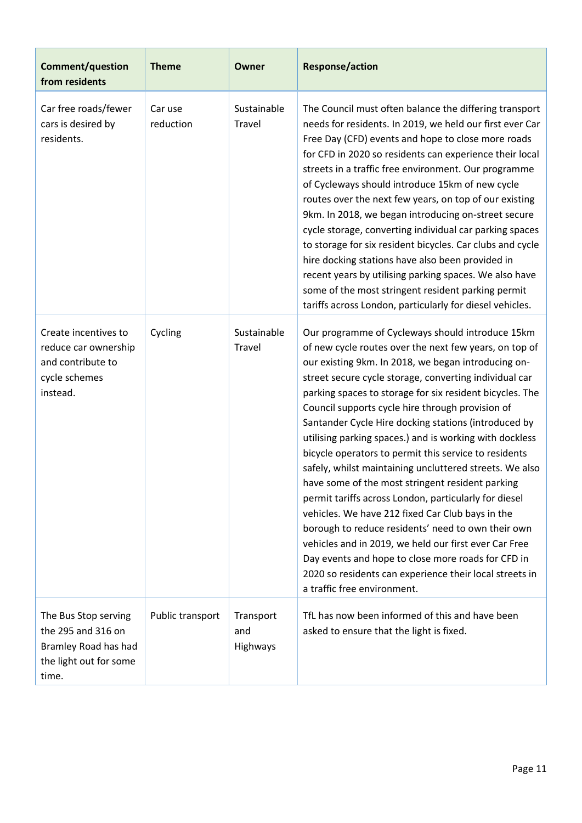| <b>Comment/question</b><br>from residents                                                             | <b>Theme</b>         | <b>Owner</b>                 | <b>Response/action</b>                                                                                                                                                                                                                                                                                                                                                                                                                                                                                                                                                                                                                                                                                                                                                                                                                                                                                                                                                                                             |
|-------------------------------------------------------------------------------------------------------|----------------------|------------------------------|--------------------------------------------------------------------------------------------------------------------------------------------------------------------------------------------------------------------------------------------------------------------------------------------------------------------------------------------------------------------------------------------------------------------------------------------------------------------------------------------------------------------------------------------------------------------------------------------------------------------------------------------------------------------------------------------------------------------------------------------------------------------------------------------------------------------------------------------------------------------------------------------------------------------------------------------------------------------------------------------------------------------|
| Car free roads/fewer<br>cars is desired by<br>residents.                                              | Car use<br>reduction | Sustainable<br>Travel        | The Council must often balance the differing transport<br>needs for residents. In 2019, we held our first ever Car<br>Free Day (CFD) events and hope to close more roads<br>for CFD in 2020 so residents can experience their local<br>streets in a traffic free environment. Our programme<br>of Cycleways should introduce 15km of new cycle<br>routes over the next few years, on top of our existing<br>9km. In 2018, we began introducing on-street secure<br>cycle storage, converting individual car parking spaces<br>to storage for six resident bicycles. Car clubs and cycle<br>hire docking stations have also been provided in<br>recent years by utilising parking spaces. We also have<br>some of the most stringent resident parking permit<br>tariffs across London, particularly for diesel vehicles.                                                                                                                                                                                            |
| Create incentives to<br>reduce car ownership<br>and contribute to<br>cycle schemes<br>instead.        | Cycling              | Sustainable<br>Travel        | Our programme of Cycleways should introduce 15km<br>of new cycle routes over the next few years, on top of<br>our existing 9km. In 2018, we began introducing on-<br>street secure cycle storage, converting individual car<br>parking spaces to storage for six resident bicycles. The<br>Council supports cycle hire through provision of<br>Santander Cycle Hire docking stations (introduced by<br>utilising parking spaces.) and is working with dockless<br>bicycle operators to permit this service to residents<br>safely, whilst maintaining uncluttered streets. We also<br>have some of the most stringent resident parking<br>permit tariffs across London, particularly for diesel<br>vehicles. We have 212 fixed Car Club bays in the<br>borough to reduce residents' need to own their own<br>vehicles and in 2019, we held our first ever Car Free<br>Day events and hope to close more roads for CFD in<br>2020 so residents can experience their local streets in<br>a traffic free environment. |
| The Bus Stop serving<br>the 295 and 316 on<br>Bramley Road has had<br>the light out for some<br>time. | Public transport     | Transport<br>and<br>Highways | TfL has now been informed of this and have been<br>asked to ensure that the light is fixed.                                                                                                                                                                                                                                                                                                                                                                                                                                                                                                                                                                                                                                                                                                                                                                                                                                                                                                                        |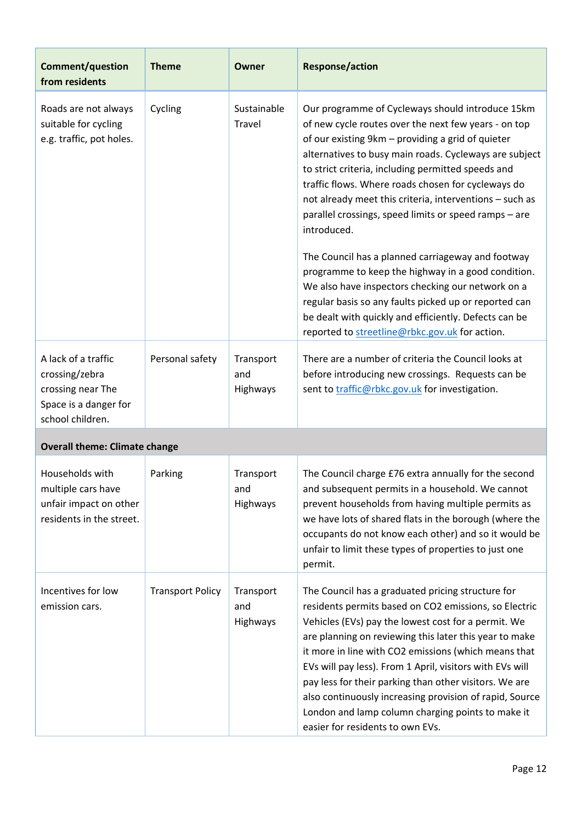| Comment/question<br>from residents                                                                      | <b>Theme</b>            | Owner                        | <b>Response/action</b>                                                                                                                                                                                                                                                                                                                                                                                                                                                                                                                                                                                                                                                                                                                                                                                     |
|---------------------------------------------------------------------------------------------------------|-------------------------|------------------------------|------------------------------------------------------------------------------------------------------------------------------------------------------------------------------------------------------------------------------------------------------------------------------------------------------------------------------------------------------------------------------------------------------------------------------------------------------------------------------------------------------------------------------------------------------------------------------------------------------------------------------------------------------------------------------------------------------------------------------------------------------------------------------------------------------------|
| Roads are not always<br>suitable for cycling<br>e.g. traffic, pot holes.                                | Cycling                 | Sustainable<br>Travel        | Our programme of Cycleways should introduce 15km<br>of new cycle routes over the next few years - on top<br>of our existing 9km - providing a grid of quieter<br>alternatives to busy main roads. Cycleways are subject<br>to strict criteria, including permitted speeds and<br>traffic flows. Where roads chosen for cycleways do<br>not already meet this criteria, interventions - such as<br>parallel crossings, speed limits or speed ramps - are<br>introduced.<br>The Council has a planned carriageway and footway<br>programme to keep the highway in a good condition.<br>We also have inspectors checking our network on a<br>regular basis so any faults picked up or reported can<br>be dealt with quickly and efficiently. Defects can be<br>reported to streetline@rbkc.gov.uk for action. |
| A lack of a traffic<br>crossing/zebra<br>crossing near The<br>Space is a danger for<br>school children. | Personal safety         | Transport<br>and<br>Highways | There are a number of criteria the Council looks at<br>before introducing new crossings. Requests can be<br>sent to traffic@rbkc.gov.uk for investigation.                                                                                                                                                                                                                                                                                                                                                                                                                                                                                                                                                                                                                                                 |
| <b>Overall theme: Climate change</b>                                                                    |                         |                              |                                                                                                                                                                                                                                                                                                                                                                                                                                                                                                                                                                                                                                                                                                                                                                                                            |
| Households with<br>multiple cars have<br>unfair impact on other<br>residents in the street.             | Parking                 | Transport<br>and<br>Highways | The Council charge £76 extra annually for the second<br>and subsequent permits in a household. We cannot<br>prevent households from having multiple permits as<br>we have lots of shared flats in the borough (where the<br>occupants do not know each other) and so it would be<br>unfair to limit these types of properties to just one<br>permit.                                                                                                                                                                                                                                                                                                                                                                                                                                                       |
| Incentives for low<br>emission cars.                                                                    | <b>Transport Policy</b> | Transport<br>and<br>Highways | The Council has a graduated pricing structure for<br>residents permits based on CO2 emissions, so Electric<br>Vehicles (EVs) pay the lowest cost for a permit. We<br>are planning on reviewing this later this year to make<br>it more in line with CO2 emissions (which means that<br>EVs will pay less). From 1 April, visitors with EVs will<br>pay less for their parking than other visitors. We are<br>also continuously increasing provision of rapid, Source<br>London and lamp column charging points to make it<br>easier for residents to own EVs.                                                                                                                                                                                                                                              |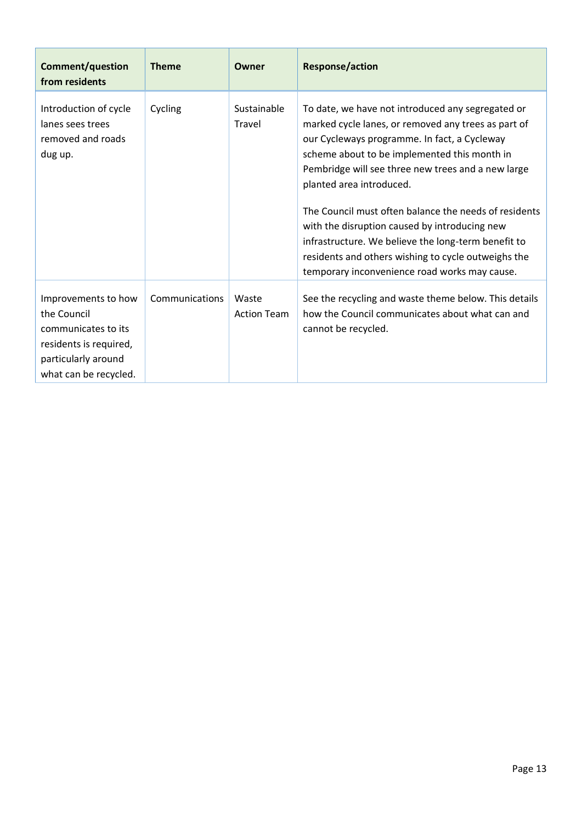| <b>Comment/question</b><br>from residents                                                                                           | <b>Theme</b>   | Owner                       | <b>Response/action</b>                                                                                                                                                                                                                                                                                                                                                                                                                                                                                                                                              |
|-------------------------------------------------------------------------------------------------------------------------------------|----------------|-----------------------------|---------------------------------------------------------------------------------------------------------------------------------------------------------------------------------------------------------------------------------------------------------------------------------------------------------------------------------------------------------------------------------------------------------------------------------------------------------------------------------------------------------------------------------------------------------------------|
| Introduction of cycle<br>lanes sees trees<br>removed and roads<br>dug up.                                                           | Cycling        | Sustainable<br>Travel       | To date, we have not introduced any segregated or<br>marked cycle lanes, or removed any trees as part of<br>our Cycleways programme. In fact, a Cycleway<br>scheme about to be implemented this month in<br>Pembridge will see three new trees and a new large<br>planted area introduced.<br>The Council must often balance the needs of residents<br>with the disruption caused by introducing new<br>infrastructure. We believe the long-term benefit to<br>residents and others wishing to cycle outweighs the<br>temporary inconvenience road works may cause. |
| Improvements to how<br>the Council<br>communicates to its<br>residents is required,<br>particularly around<br>what can be recycled. | Communications | Waste<br><b>Action Team</b> | See the recycling and waste theme below. This details<br>how the Council communicates about what can and<br>cannot be recycled.                                                                                                                                                                                                                                                                                                                                                                                                                                     |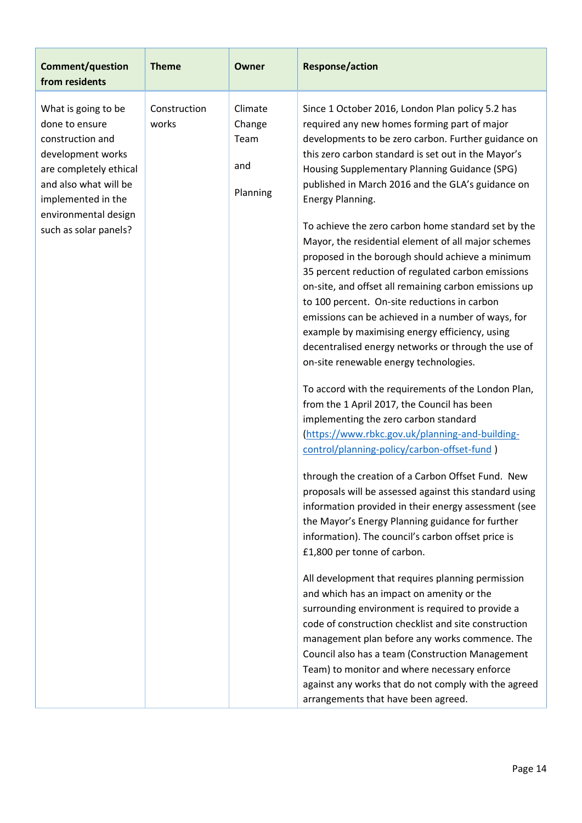| <b>Comment/question</b><br>from residents                                                                                                                                                                | <b>Theme</b>          | <b>Owner</b>                                 | <b>Response/action</b>                                                                                                                                                                                                                                                                                                                                                                                                                                                                                                                                                                                                                                                                                                                                                                                                                                                                                                                                                                                                                                                                                                                                                                                                                                                                                                                                                                                                                                                                                                                                                                                                                                                                                                                                                                                                                                                                                                 |
|----------------------------------------------------------------------------------------------------------------------------------------------------------------------------------------------------------|-----------------------|----------------------------------------------|------------------------------------------------------------------------------------------------------------------------------------------------------------------------------------------------------------------------------------------------------------------------------------------------------------------------------------------------------------------------------------------------------------------------------------------------------------------------------------------------------------------------------------------------------------------------------------------------------------------------------------------------------------------------------------------------------------------------------------------------------------------------------------------------------------------------------------------------------------------------------------------------------------------------------------------------------------------------------------------------------------------------------------------------------------------------------------------------------------------------------------------------------------------------------------------------------------------------------------------------------------------------------------------------------------------------------------------------------------------------------------------------------------------------------------------------------------------------------------------------------------------------------------------------------------------------------------------------------------------------------------------------------------------------------------------------------------------------------------------------------------------------------------------------------------------------------------------------------------------------------------------------------------------------|
| What is going to be<br>done to ensure<br>construction and<br>development works<br>are completely ethical<br>and also what will be<br>implemented in the<br>environmental design<br>such as solar panels? | Construction<br>works | Climate<br>Change<br>Team<br>and<br>Planning | Since 1 October 2016, London Plan policy 5.2 has<br>required any new homes forming part of major<br>developments to be zero carbon. Further guidance on<br>this zero carbon standard is set out in the Mayor's<br>Housing Supplementary Planning Guidance (SPG)<br>published in March 2016 and the GLA's guidance on<br>Energy Planning.<br>To achieve the zero carbon home standard set by the<br>Mayor, the residential element of all major schemes<br>proposed in the borough should achieve a minimum<br>35 percent reduction of regulated carbon emissions<br>on-site, and offset all remaining carbon emissions up<br>to 100 percent. On-site reductions in carbon<br>emissions can be achieved in a number of ways, for<br>example by maximising energy efficiency, using<br>decentralised energy networks or through the use of<br>on-site renewable energy technologies.<br>To accord with the requirements of the London Plan,<br>from the 1 April 2017, the Council has been<br>implementing the zero carbon standard<br>(https://www.rbkc.gov.uk/planning-and-building-<br>control/planning-policy/carbon-offset-fund)<br>through the creation of a Carbon Offset Fund. New<br>proposals will be assessed against this standard using<br>information provided in their energy assessment (see<br>the Mayor's Energy Planning guidance for further<br>information). The council's carbon offset price is<br>£1,800 per tonne of carbon.<br>All development that requires planning permission<br>and which has an impact on amenity or the<br>surrounding environment is required to provide a<br>code of construction checklist and site construction<br>management plan before any works commence. The<br>Council also has a team (Construction Management<br>Team) to monitor and where necessary enforce<br>against any works that do not comply with the agreed<br>arrangements that have been agreed. |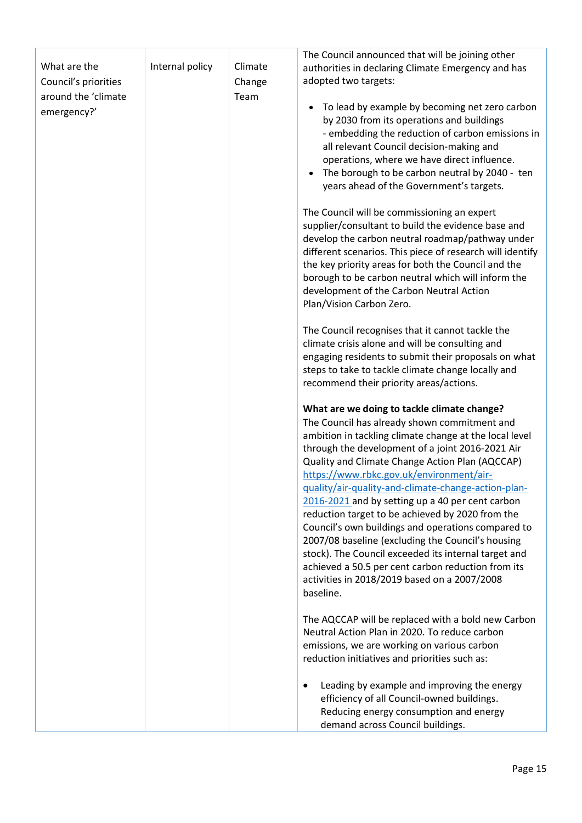| What are the<br>Council's priorities | Internal policy | Climate<br>Change | The Council announced that will be joining other<br>authorities in declaring Climate Emergency and has<br>adopted two targets:                                                                                                                                                                                                                                                                                                                                                                                                                                                                                                                                                                                                                                |
|--------------------------------------|-----------------|-------------------|---------------------------------------------------------------------------------------------------------------------------------------------------------------------------------------------------------------------------------------------------------------------------------------------------------------------------------------------------------------------------------------------------------------------------------------------------------------------------------------------------------------------------------------------------------------------------------------------------------------------------------------------------------------------------------------------------------------------------------------------------------------|
| around the 'climate<br>emergency?'   |                 | Team              | To lead by example by becoming net zero carbon<br>$\bullet$<br>by 2030 from its operations and buildings<br>- embedding the reduction of carbon emissions in<br>all relevant Council decision-making and<br>operations, where we have direct influence.<br>The borough to be carbon neutral by 2040 - ten<br>$\bullet$<br>years ahead of the Government's targets.<br>The Council will be commissioning an expert<br>supplier/consultant to build the evidence base and<br>develop the carbon neutral roadmap/pathway under<br>different scenarios. This piece of research will identify<br>the key priority areas for both the Council and the                                                                                                               |
|                                      |                 |                   | borough to be carbon neutral which will inform the<br>development of the Carbon Neutral Action<br>Plan/Vision Carbon Zero.                                                                                                                                                                                                                                                                                                                                                                                                                                                                                                                                                                                                                                    |
|                                      |                 |                   | The Council recognises that it cannot tackle the<br>climate crisis alone and will be consulting and<br>engaging residents to submit their proposals on what<br>steps to take to tackle climate change locally and<br>recommend their priority areas/actions.                                                                                                                                                                                                                                                                                                                                                                                                                                                                                                  |
|                                      |                 |                   | What are we doing to tackle climate change?<br>The Council has already shown commitment and<br>ambition in tackling climate change at the local level<br>through the development of a joint 2016-2021 Air<br>Quality and Climate Change Action Plan (AQCCAP)<br>https://www.rbkc.gov.uk/environment/air-<br>quality/air-quality-and-climate-change-action-plan-<br>2016-2021 and by setting up a 40 per cent carbon<br>reduction target to be achieved by 2020 from the<br>Council's own buildings and operations compared to<br>2007/08 baseline (excluding the Council's housing<br>stock). The Council exceeded its internal target and<br>achieved a 50.5 per cent carbon reduction from its<br>activities in 2018/2019 based on a 2007/2008<br>baseline. |
|                                      |                 |                   | The AQCCAP will be replaced with a bold new Carbon<br>Neutral Action Plan in 2020. To reduce carbon<br>emissions, we are working on various carbon<br>reduction initiatives and priorities such as:                                                                                                                                                                                                                                                                                                                                                                                                                                                                                                                                                           |
|                                      |                 |                   | Leading by example and improving the energy<br>٠<br>efficiency of all Council-owned buildings.<br>Reducing energy consumption and energy<br>demand across Council buildings.                                                                                                                                                                                                                                                                                                                                                                                                                                                                                                                                                                                  |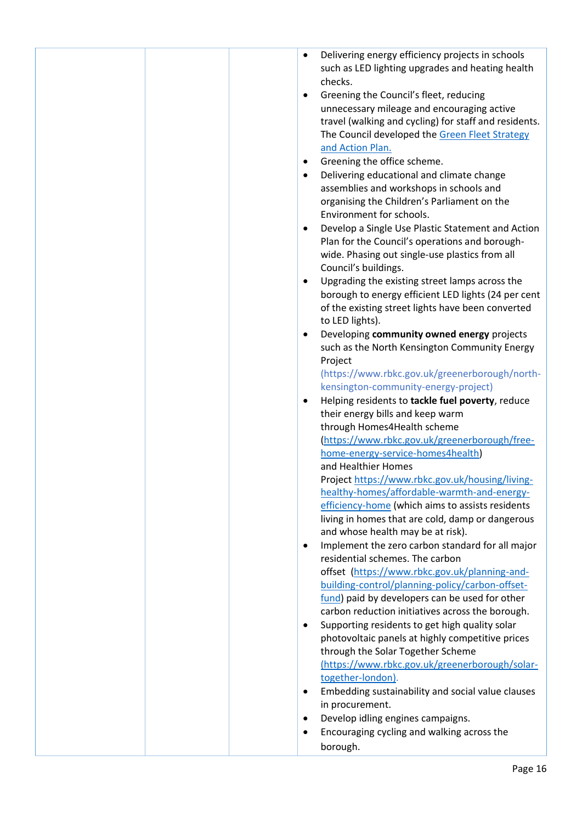|  | Delivering energy efficiency projects in schools<br>$\bullet$ |
|--|---------------------------------------------------------------|
|  | such as LED lighting upgrades and heating health              |
|  | checks.                                                       |
|  | Greening the Council's fleet, reducing<br>٠                   |
|  |                                                               |
|  | unnecessary mileage and encouraging active                    |
|  | travel (walking and cycling) for staff and residents.         |
|  | The Council developed the Green Fleet Strategy                |
|  | and Action Plan.                                              |
|  | Greening the office scheme.<br>$\bullet$                      |
|  |                                                               |
|  | Delivering educational and climate change<br>$\bullet$        |
|  | assemblies and workshops in schools and                       |
|  | organising the Children's Parliament on the                   |
|  | Environment for schools.                                      |
|  | Develop a Single Use Plastic Statement and Action<br>٠        |
|  | Plan for the Council's operations and borough-                |
|  |                                                               |
|  | wide. Phasing out single-use plastics from all                |
|  | Council's buildings.                                          |
|  | Upgrading the existing street lamps across the<br>٠           |
|  | borough to energy efficient LED lights (24 per cent           |
|  | of the existing street lights have been converted             |
|  | to LED lights).                                               |
|  |                                                               |
|  | Developing community owned energy projects<br>٠               |
|  | such as the North Kensington Community Energy                 |
|  | Project                                                       |
|  | (https://www.rbkc.gov.uk/greenerborough/north-                |
|  | kensington-community-energy-project)                          |
|  |                                                               |
|  | Helping residents to tackle fuel poverty, reduce<br>٠         |
|  | their energy bills and keep warm                              |
|  | through Homes4Health scheme                                   |
|  | (https://www.rbkc.gov.uk/greenerborough/free-                 |
|  | home-energy-service-homes4health)                             |
|  | and Healthier Homes                                           |
|  | Project https://www.rbkc.gov.uk/housing/living-               |
|  |                                                               |
|  | healthy-homes/affordable-warmth-and-energy-                   |
|  | efficiency-home (which aims to assists residents              |
|  | living in homes that are cold, damp or dangerous              |
|  | and whose health may be at risk).                             |
|  | Implement the zero carbon standard for all major<br>٠         |
|  | residential schemes. The carbon                               |
|  | offset (https://www.rbkc.gov.uk/planning-and-                 |
|  |                                                               |
|  | building-control/planning-policy/carbon-offset-               |
|  | fund) paid by developers can be used for other                |
|  | carbon reduction initiatives across the borough.              |
|  | Supporting residents to get high quality solar<br>$\bullet$   |
|  | photovoltaic panels at highly competitive prices              |
|  | through the Solar Together Scheme                             |
|  |                                                               |
|  | (https://www.rbkc.gov.uk/greenerborough/solar-                |
|  | together-london).                                             |
|  | Embedding sustainability and social value clauses<br>٠        |
|  | in procurement.                                               |
|  | Develop idling engines campaigns.<br>$\bullet$                |
|  |                                                               |
|  | Encouraging cycling and walking across the<br>٠               |
|  | borough.                                                      |
|  |                                                               |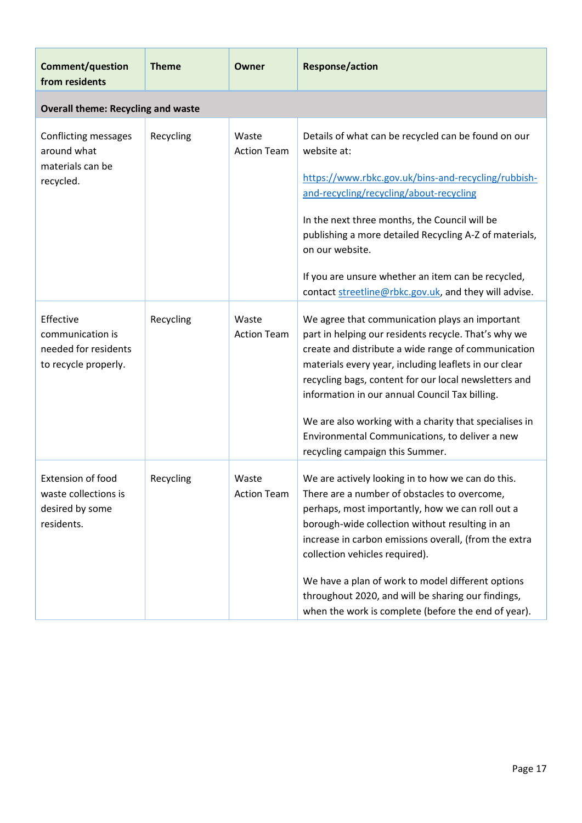| <b>Comment/question</b><br>from residents                                     | <b>Theme</b> | Owner                       | <b>Response/action</b>                                                                                                                                                                                                                                                                                                                                                                                                                                                           |
|-------------------------------------------------------------------------------|--------------|-----------------------------|----------------------------------------------------------------------------------------------------------------------------------------------------------------------------------------------------------------------------------------------------------------------------------------------------------------------------------------------------------------------------------------------------------------------------------------------------------------------------------|
| <b>Overall theme: Recycling and waste</b>                                     |              |                             |                                                                                                                                                                                                                                                                                                                                                                                                                                                                                  |
| Conflicting messages<br>around what<br>materials can be<br>recycled.          | Recycling    | Waste<br><b>Action Team</b> | Details of what can be recycled can be found on our<br>website at:<br>https://www.rbkc.gov.uk/bins-and-recycling/rubbish-<br>and-recycling/recycling/about-recycling<br>In the next three months, the Council will be<br>publishing a more detailed Recycling A-Z of materials,<br>on our website.<br>If you are unsure whether an item can be recycled,<br>contact streetline@rbkc.gov.uk, and they will advise.                                                                |
| Effective<br>communication is<br>needed for residents<br>to recycle properly. | Recycling    | Waste<br><b>Action Team</b> | We agree that communication plays an important<br>part in helping our residents recycle. That's why we<br>create and distribute a wide range of communication<br>materials every year, including leaflets in our clear<br>recycling bags, content for our local newsletters and<br>information in our annual Council Tax billing.<br>We are also working with a charity that specialises in<br>Environmental Communications, to deliver a new<br>recycling campaign this Summer. |
| Extension of food<br>waste collections is<br>desired by some<br>residents.    | Recycling    | Waste<br><b>Action Team</b> | We are actively looking in to how we can do this.<br>There are a number of obstacles to overcome,<br>perhaps, most importantly, how we can roll out a<br>borough-wide collection without resulting in an<br>increase in carbon emissions overall, (from the extra<br>collection vehicles required).<br>We have a plan of work to model different options<br>throughout 2020, and will be sharing our findings,<br>when the work is complete (before the end of year).            |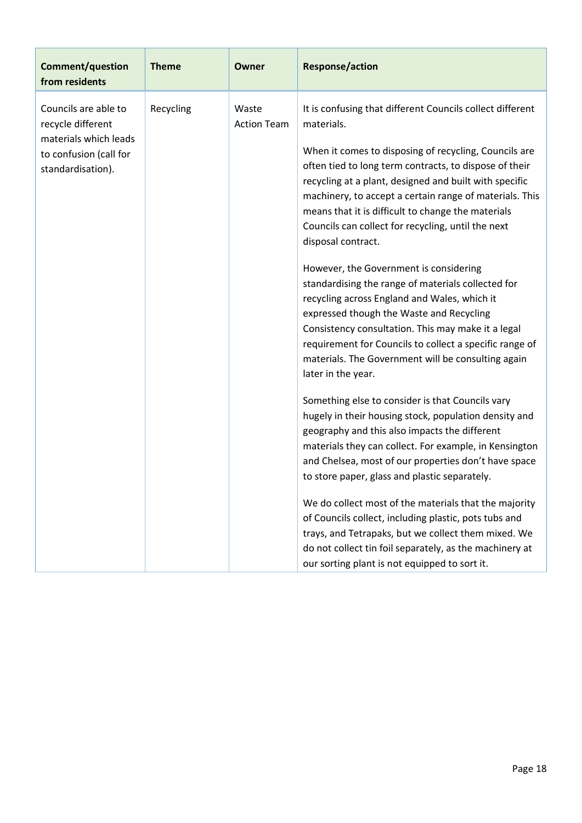| <b>Comment/question</b><br>from residents                                                                         | <b>Theme</b>                             | <b>Owner</b>                                                                                                                                                                                                                                                                                                                                                                                                                                                                                                                                                                                                       | <b>Response/action</b>                                                                                                                                                                                                                                                                                                                                                                                                                                                                                                                                                                                                                                                                                                                                                                                                                     |
|-------------------------------------------------------------------------------------------------------------------|------------------------------------------|--------------------------------------------------------------------------------------------------------------------------------------------------------------------------------------------------------------------------------------------------------------------------------------------------------------------------------------------------------------------------------------------------------------------------------------------------------------------------------------------------------------------------------------------------------------------------------------------------------------------|--------------------------------------------------------------------------------------------------------------------------------------------------------------------------------------------------------------------------------------------------------------------------------------------------------------------------------------------------------------------------------------------------------------------------------------------------------------------------------------------------------------------------------------------------------------------------------------------------------------------------------------------------------------------------------------------------------------------------------------------------------------------------------------------------------------------------------------------|
| Councils are able to<br>recycle different<br>materials which leads<br>to confusion (call for<br>standardisation). | Recycling<br>Waste<br><b>Action Team</b> |                                                                                                                                                                                                                                                                                                                                                                                                                                                                                                                                                                                                                    | It is confusing that different Councils collect different<br>materials.<br>When it comes to disposing of recycling, Councils are<br>often tied to long term contracts, to dispose of their<br>recycling at a plant, designed and built with specific<br>machinery, to accept a certain range of materials. This<br>means that it is difficult to change the materials<br>Councils can collect for recycling, until the next<br>disposal contract.<br>However, the Government is considering<br>standardising the range of materials collected for<br>recycling across England and Wales, which it<br>expressed though the Waste and Recycling<br>Consistency consultation. This may make it a legal<br>requirement for Councils to collect a specific range of<br>materials. The Government will be consulting again<br>later in the year. |
|                                                                                                                   |                                          | Something else to consider is that Councils vary<br>hugely in their housing stock, population density and<br>geography and this also impacts the different<br>materials they can collect. For example, in Kensington<br>and Chelsea, most of our properties don't have space<br>to store paper, glass and plastic separately.<br>We do collect most of the materials that the majority<br>of Councils collect, including plastic, pots tubs and<br>trays, and Tetrapaks, but we collect them mixed. We<br>do not collect tin foil separately, as the machinery at<br>our sorting plant is not equipped to sort it. |                                                                                                                                                                                                                                                                                                                                                                                                                                                                                                                                                                                                                                                                                                                                                                                                                                            |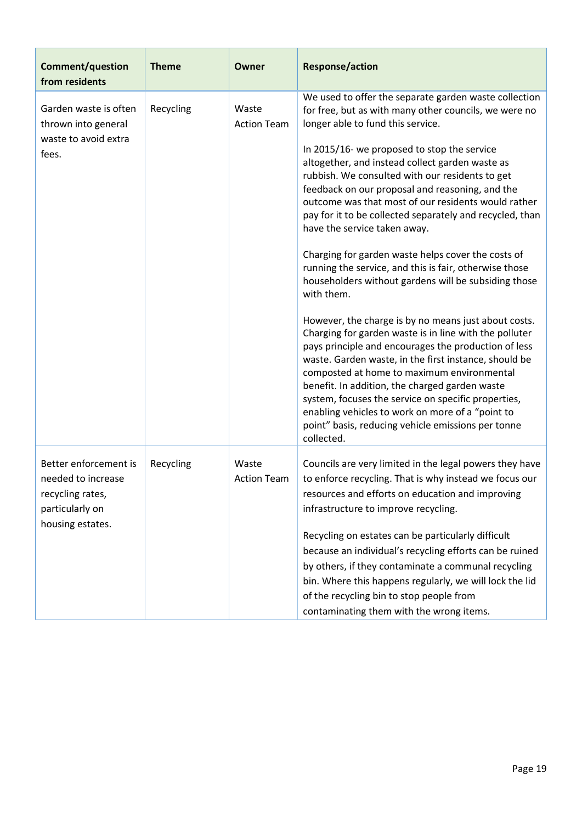| <b>Comment/question</b><br>from residents                                                              | <b>Theme</b> | Owner                       | <b>Response/action</b>                                                                                                                                                                                                                                                                                                                                                                                                                                                                                                                                                                                                                                                                                                                                                                                                                                                                                                                                                                                                                                                                                                                                                                                                 |
|--------------------------------------------------------------------------------------------------------|--------------|-----------------------------|------------------------------------------------------------------------------------------------------------------------------------------------------------------------------------------------------------------------------------------------------------------------------------------------------------------------------------------------------------------------------------------------------------------------------------------------------------------------------------------------------------------------------------------------------------------------------------------------------------------------------------------------------------------------------------------------------------------------------------------------------------------------------------------------------------------------------------------------------------------------------------------------------------------------------------------------------------------------------------------------------------------------------------------------------------------------------------------------------------------------------------------------------------------------------------------------------------------------|
| Garden waste is often<br>thrown into general<br>waste to avoid extra<br>fees.                          | Recycling    | Waste<br><b>Action Team</b> | We used to offer the separate garden waste collection<br>for free, but as with many other councils, we were no<br>longer able to fund this service.<br>In 2015/16- we proposed to stop the service<br>altogether, and instead collect garden waste as<br>rubbish. We consulted with our residents to get<br>feedback on our proposal and reasoning, and the<br>outcome was that most of our residents would rather<br>pay for it to be collected separately and recycled, than<br>have the service taken away.<br>Charging for garden waste helps cover the costs of<br>running the service, and this is fair, otherwise those<br>householders without gardens will be subsiding those<br>with them.<br>However, the charge is by no means just about costs.<br>Charging for garden waste is in line with the polluter<br>pays principle and encourages the production of less<br>waste. Garden waste, in the first instance, should be<br>composted at home to maximum environmental<br>benefit. In addition, the charged garden waste<br>system, focuses the service on specific properties,<br>enabling vehicles to work on more of a "point to<br>point" basis, reducing vehicle emissions per tonne<br>collected. |
| Better enforcement is<br>needed to increase<br>recycling rates,<br>particularly on<br>housing estates. | Recycling    | Waste<br><b>Action Team</b> | Councils are very limited in the legal powers they have<br>to enforce recycling. That is why instead we focus our<br>resources and efforts on education and improving<br>infrastructure to improve recycling.<br>Recycling on estates can be particularly difficult<br>because an individual's recycling efforts can be ruined<br>by others, if they contaminate a communal recycling<br>bin. Where this happens regularly, we will lock the lid<br>of the recycling bin to stop people from<br>contaminating them with the wrong items.                                                                                                                                                                                                                                                                                                                                                                                                                                                                                                                                                                                                                                                                               |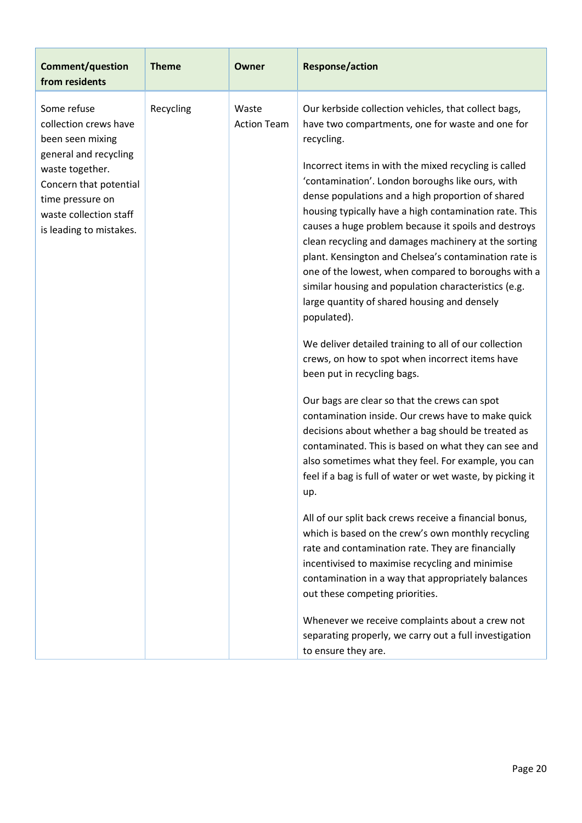| <b>Comment/question</b><br>from residents                                                                                                                                                               | <b>Theme</b> | <b>Owner</b>                | <b>Response/action</b>                                                                                                                                                                                                                                                                                                                                                                                                                                                                                                                                                                                                                                                                                                                                                                                                                                                                                                                                                                                                                                                                                                                                                                                                                                                                                                                                                                                                                                                                                                                                                                                                              |
|---------------------------------------------------------------------------------------------------------------------------------------------------------------------------------------------------------|--------------|-----------------------------|-------------------------------------------------------------------------------------------------------------------------------------------------------------------------------------------------------------------------------------------------------------------------------------------------------------------------------------------------------------------------------------------------------------------------------------------------------------------------------------------------------------------------------------------------------------------------------------------------------------------------------------------------------------------------------------------------------------------------------------------------------------------------------------------------------------------------------------------------------------------------------------------------------------------------------------------------------------------------------------------------------------------------------------------------------------------------------------------------------------------------------------------------------------------------------------------------------------------------------------------------------------------------------------------------------------------------------------------------------------------------------------------------------------------------------------------------------------------------------------------------------------------------------------------------------------------------------------------------------------------------------------|
| Some refuse<br>collection crews have<br>been seen mixing<br>general and recycling<br>waste together.<br>Concern that potential<br>time pressure on<br>waste collection staff<br>is leading to mistakes. | Recycling    | Waste<br><b>Action Team</b> | Our kerbside collection vehicles, that collect bags,<br>have two compartments, one for waste and one for<br>recycling.<br>Incorrect items in with the mixed recycling is called<br>'contamination'. London boroughs like ours, with<br>dense populations and a high proportion of shared<br>housing typically have a high contamination rate. This<br>causes a huge problem because it spoils and destroys<br>clean recycling and damages machinery at the sorting<br>plant. Kensington and Chelsea's contamination rate is<br>one of the lowest, when compared to boroughs with a<br>similar housing and population characteristics (e.g.<br>large quantity of shared housing and densely<br>populated).<br>We deliver detailed training to all of our collection<br>crews, on how to spot when incorrect items have<br>been put in recycling bags.<br>Our bags are clear so that the crews can spot<br>contamination inside. Our crews have to make quick<br>decisions about whether a bag should be treated as<br>contaminated. This is based on what they can see and<br>also sometimes what they feel. For example, you can<br>feel if a bag is full of water or wet waste, by picking it<br>up.<br>All of our split back crews receive a financial bonus,<br>which is based on the crew's own monthly recycling<br>rate and contamination rate. They are financially<br>incentivised to maximise recycling and minimise<br>contamination in a way that appropriately balances<br>out these competing priorities.<br>Whenever we receive complaints about a crew not<br>separating properly, we carry out a full investigation |
|                                                                                                                                                                                                         |              |                             | to ensure they are.                                                                                                                                                                                                                                                                                                                                                                                                                                                                                                                                                                                                                                                                                                                                                                                                                                                                                                                                                                                                                                                                                                                                                                                                                                                                                                                                                                                                                                                                                                                                                                                                                 |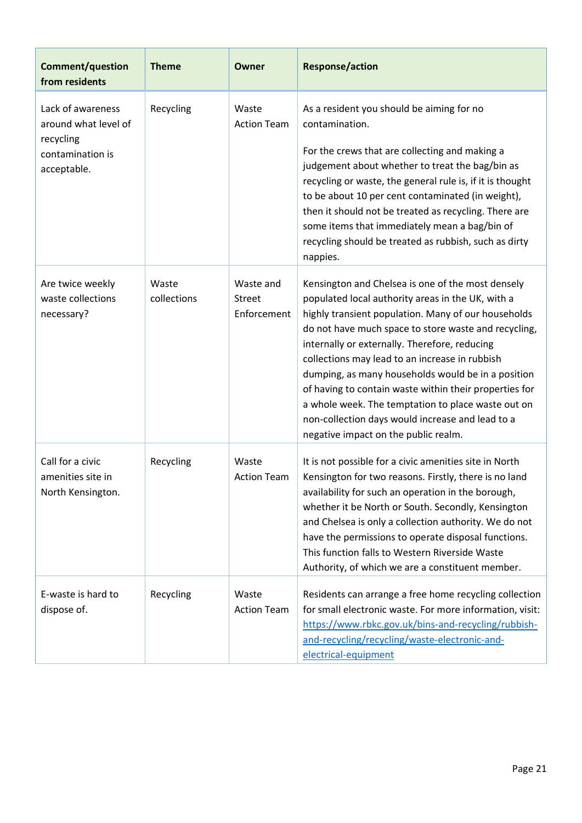| <b>Comment/question</b><br>from residents                                                 | <b>Theme</b>         | Owner                                     | <b>Response/action</b>                                                                                                                                                                                                                                                                                                                                                                                                                                                                                                                                                                     |
|-------------------------------------------------------------------------------------------|----------------------|-------------------------------------------|--------------------------------------------------------------------------------------------------------------------------------------------------------------------------------------------------------------------------------------------------------------------------------------------------------------------------------------------------------------------------------------------------------------------------------------------------------------------------------------------------------------------------------------------------------------------------------------------|
| Lack of awareness<br>around what level of<br>recycling<br>contamination is<br>acceptable. | Recycling            | Waste<br><b>Action Team</b>               | As a resident you should be aiming for no<br>contamination.<br>For the crews that are collecting and making a<br>judgement about whether to treat the bag/bin as<br>recycling or waste, the general rule is, if it is thought<br>to be about 10 per cent contaminated (in weight),<br>then it should not be treated as recycling. There are<br>some items that immediately mean a bag/bin of<br>recycling should be treated as rubbish, such as dirty<br>nappies.                                                                                                                          |
| Are twice weekly<br>waste collections<br>necessary?                                       | Waste<br>collections | Waste and<br><b>Street</b><br>Enforcement | Kensington and Chelsea is one of the most densely<br>populated local authority areas in the UK, with a<br>highly transient population. Many of our households<br>do not have much space to store waste and recycling,<br>internally or externally. Therefore, reducing<br>collections may lead to an increase in rubbish<br>dumping, as many households would be in a position<br>of having to contain waste within their properties for<br>a whole week. The temptation to place waste out on<br>non-collection days would increase and lead to a<br>negative impact on the public realm. |
| Call for a civic<br>amenities site in<br>North Kensington.                                | Recycling            | Waste<br><b>Action Team</b>               | It is not possible for a civic amenities site in North<br>Kensington for two reasons. Firstly, there is no land<br>availability for such an operation in the borough,<br>whether it be North or South. Secondly, Kensington<br>and Chelsea is only a collection authority. We do not<br>have the permissions to operate disposal functions.<br>This function falls to Western Riverside Waste<br>Authority, of which we are a constituent member.                                                                                                                                          |
| E-waste is hard to<br>dispose of.                                                         | Recycling            | Waste<br><b>Action Team</b>               | Residents can arrange a free home recycling collection<br>for small electronic waste. For more information, visit:<br>https://www.rbkc.gov.uk/bins-and-recycling/rubbish-<br>and-recycling/recycling/waste-electronic-and-<br>electrical-equipment                                                                                                                                                                                                                                                                                                                                         |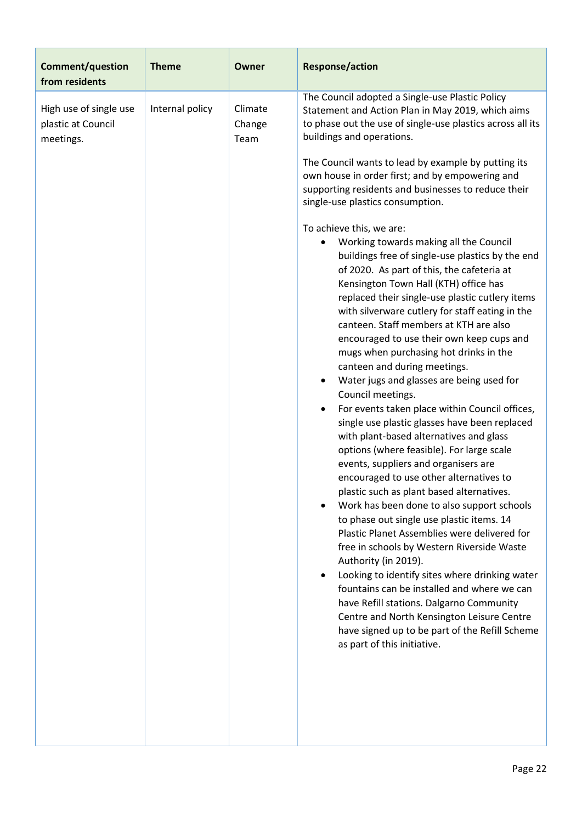| <b>Comment/question</b><br>from residents                 | <b>Theme</b>    | <b>Owner</b>              | <b>Response/action</b>                                                                                                                                                                                                                                                                                                                                                                                                                                                                                                                                                                                                                                                                                                                                                                                                                                                                                                                                                                                                                                                                                                                                                                                                                                                                                                                                                                                                                                                                                                                                                                                                                                                                                                                                                                              |
|-----------------------------------------------------------|-----------------|---------------------------|-----------------------------------------------------------------------------------------------------------------------------------------------------------------------------------------------------------------------------------------------------------------------------------------------------------------------------------------------------------------------------------------------------------------------------------------------------------------------------------------------------------------------------------------------------------------------------------------------------------------------------------------------------------------------------------------------------------------------------------------------------------------------------------------------------------------------------------------------------------------------------------------------------------------------------------------------------------------------------------------------------------------------------------------------------------------------------------------------------------------------------------------------------------------------------------------------------------------------------------------------------------------------------------------------------------------------------------------------------------------------------------------------------------------------------------------------------------------------------------------------------------------------------------------------------------------------------------------------------------------------------------------------------------------------------------------------------------------------------------------------------------------------------------------------------|
| High use of single use<br>plastic at Council<br>meetings. | Internal policy | Climate<br>Change<br>Team | The Council adopted a Single-use Plastic Policy<br>Statement and Action Plan in May 2019, which aims<br>to phase out the use of single-use plastics across all its<br>buildings and operations.<br>The Council wants to lead by example by putting its<br>own house in order first; and by empowering and<br>supporting residents and businesses to reduce their<br>single-use plastics consumption.<br>To achieve this, we are:<br>Working towards making all the Council<br>buildings free of single-use plastics by the end<br>of 2020. As part of this, the cafeteria at<br>Kensington Town Hall (KTH) office has<br>replaced their single-use plastic cutlery items<br>with silverware cutlery for staff eating in the<br>canteen. Staff members at KTH are also<br>encouraged to use their own keep cups and<br>mugs when purchasing hot drinks in the<br>canteen and during meetings.<br>Water jugs and glasses are being used for<br>Council meetings.<br>For events taken place within Council offices,<br>$\bullet$<br>single use plastic glasses have been replaced<br>with plant-based alternatives and glass<br>options (where feasible). For large scale<br>events, suppliers and organisers are<br>encouraged to use other alternatives to<br>plastic such as plant based alternatives.<br>Work has been done to also support schools<br>to phase out single use plastic items. 14<br>Plastic Planet Assemblies were delivered for<br>free in schools by Western Riverside Waste<br>Authority (in 2019).<br>Looking to identify sites where drinking water<br>fountains can be installed and where we can<br>have Refill stations. Dalgarno Community<br>Centre and North Kensington Leisure Centre<br>have signed up to be part of the Refill Scheme<br>as part of this initiative. |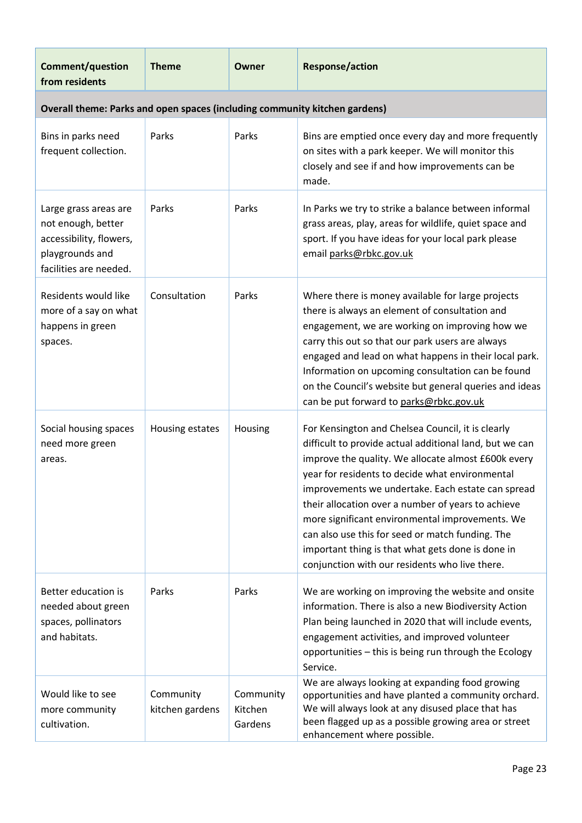| <b>Comment/question</b><br>from residents                                                                           | <b>Theme</b>                 | Owner                           | <b>Response/action</b>                                                                                                                                                                                                                                                                                                                                                                                                                                                                                                                          |
|---------------------------------------------------------------------------------------------------------------------|------------------------------|---------------------------------|-------------------------------------------------------------------------------------------------------------------------------------------------------------------------------------------------------------------------------------------------------------------------------------------------------------------------------------------------------------------------------------------------------------------------------------------------------------------------------------------------------------------------------------------------|
| Overall theme: Parks and open spaces (including community kitchen gardens)                                          |                              |                                 |                                                                                                                                                                                                                                                                                                                                                                                                                                                                                                                                                 |
| Bins in parks need<br>frequent collection.                                                                          | Parks                        | Parks                           | Bins are emptied once every day and more frequently<br>on sites with a park keeper. We will monitor this<br>closely and see if and how improvements can be<br>made.                                                                                                                                                                                                                                                                                                                                                                             |
| Large grass areas are<br>not enough, better<br>accessibility, flowers,<br>playgrounds and<br>facilities are needed. | Parks                        | Parks                           | In Parks we try to strike a balance between informal<br>grass areas, play, areas for wildlife, quiet space and<br>sport. If you have ideas for your local park please<br>email parks@rbkc.gov.uk                                                                                                                                                                                                                                                                                                                                                |
| Residents would like<br>more of a say on what<br>happens in green<br>spaces.                                        | Consultation                 | Parks                           | Where there is money available for large projects<br>there is always an element of consultation and<br>engagement, we are working on improving how we<br>carry this out so that our park users are always<br>engaged and lead on what happens in their local park.<br>Information on upcoming consultation can be found<br>on the Council's website but general queries and ideas<br>can be put forward to parks@rbkc.gov.uk                                                                                                                    |
| Social housing spaces<br>need more green<br>areas.                                                                  | Housing estates              | Housing                         | For Kensington and Chelsea Council, it is clearly<br>difficult to provide actual additional land, but we can<br>improve the quality. We allocate almost £600k every<br>year for residents to decide what environmental<br>improvements we undertake. Each estate can spread<br>their allocation over a number of years to achieve<br>more significant environmental improvements. We<br>can also use this for seed or match funding. The<br>important thing is that what gets done is done in<br>conjunction with our residents who live there. |
| Better education is<br>needed about green<br>spaces, pollinators<br>and habitats.                                   | Parks                        | Parks                           | We are working on improving the website and onsite<br>information. There is also a new Biodiversity Action<br>Plan being launched in 2020 that will include events,<br>engagement activities, and improved volunteer<br>opportunities - this is being run through the Ecology<br>Service.                                                                                                                                                                                                                                                       |
| Would like to see<br>more community<br>cultivation.                                                                 | Community<br>kitchen gardens | Community<br>Kitchen<br>Gardens | We are always looking at expanding food growing<br>opportunities and have planted a community orchard.<br>We will always look at any disused place that has<br>been flagged up as a possible growing area or street<br>enhancement where possible.                                                                                                                                                                                                                                                                                              |